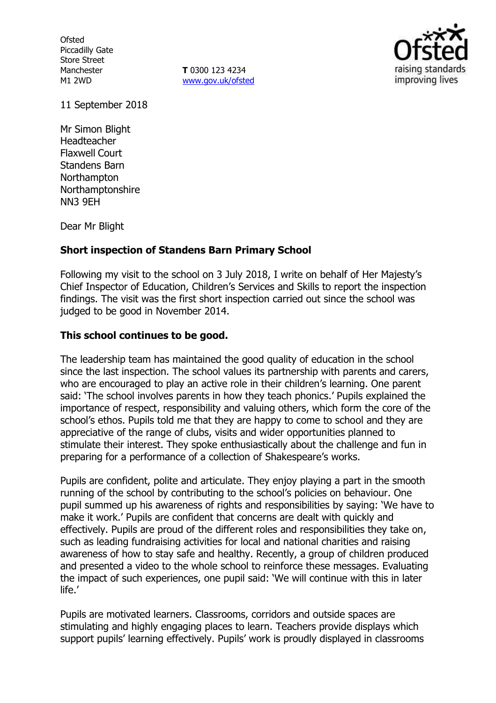**Ofsted** Piccadilly Gate Store Street Manchester M1 2WD

**T** 0300 123 4234 [www.gov.uk/ofsted](http://www.gov.uk/ofsted)



11 September 2018

Mr Simon Blight Headteacher Flaxwell Court Standens Barn **Northampton** Northamptonshire NN3 9EH

Dear Mr Blight

### **Short inspection of Standens Barn Primary School**

Following my visit to the school on 3 July 2018, I write on behalf of Her Majesty's Chief Inspector of Education, Children's Services and Skills to report the inspection findings. The visit was the first short inspection carried out since the school was judged to be good in November 2014.

## **This school continues to be good.**

The leadership team has maintained the good quality of education in the school since the last inspection. The school values its partnership with parents and carers, who are encouraged to play an active role in their children's learning. One parent said: 'The school involves parents in how they teach phonics.' Pupils explained the importance of respect, responsibility and valuing others, which form the core of the school's ethos. Pupils told me that they are happy to come to school and they are appreciative of the range of clubs, visits and wider opportunities planned to stimulate their interest. They spoke enthusiastically about the challenge and fun in preparing for a performance of a collection of Shakespeare's works.

Pupils are confident, polite and articulate. They enjoy playing a part in the smooth running of the school by contributing to the school's policies on behaviour. One pupil summed up his awareness of rights and responsibilities by saying: 'We have to make it work.' Pupils are confident that concerns are dealt with quickly and effectively. Pupils are proud of the different roles and responsibilities they take on, such as leading fundraising activities for local and national charities and raising awareness of how to stay safe and healthy. Recently, a group of children produced and presented a video to the whole school to reinforce these messages. Evaluating the impact of such experiences, one pupil said: 'We will continue with this in later life.'

Pupils are motivated learners. Classrooms, corridors and outside spaces are stimulating and highly engaging places to learn. Teachers provide displays which support pupils' learning effectively. Pupils' work is proudly displayed in classrooms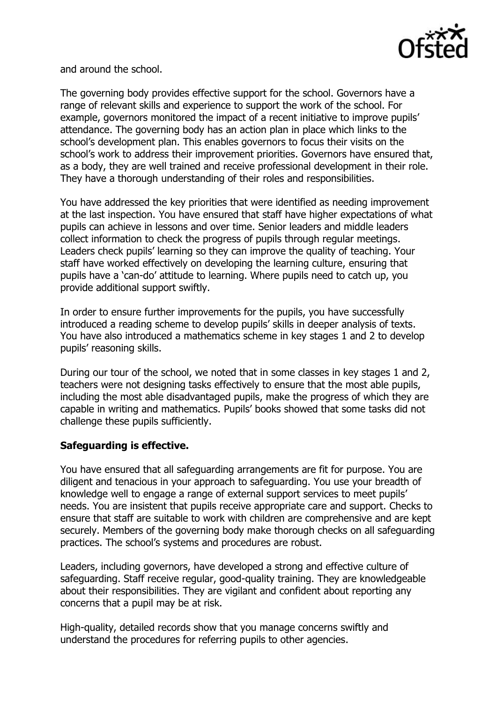

and around the school.

The governing body provides effective support for the school. Governors have a range of relevant skills and experience to support the work of the school. For example, governors monitored the impact of a recent initiative to improve pupils' attendance. The governing body has an action plan in place which links to the school's development plan. This enables governors to focus their visits on the school's work to address their improvement priorities. Governors have ensured that, as a body, they are well trained and receive professional development in their role. They have a thorough understanding of their roles and responsibilities.

You have addressed the key priorities that were identified as needing improvement at the last inspection. You have ensured that staff have higher expectations of what pupils can achieve in lessons and over time. Senior leaders and middle leaders collect information to check the progress of pupils through regular meetings. Leaders check pupils' learning so they can improve the quality of teaching. Your staff have worked effectively on developing the learning culture, ensuring that pupils have a 'can-do' attitude to learning. Where pupils need to catch up, you provide additional support swiftly.

In order to ensure further improvements for the pupils, you have successfully introduced a reading scheme to develop pupils' skills in deeper analysis of texts. You have also introduced a mathematics scheme in key stages 1 and 2 to develop pupils' reasoning skills.

During our tour of the school, we noted that in some classes in key stages 1 and 2, teachers were not designing tasks effectively to ensure that the most able pupils, including the most able disadvantaged pupils, make the progress of which they are capable in writing and mathematics. Pupils' books showed that some tasks did not challenge these pupils sufficiently.

# **Safeguarding is effective.**

You have ensured that all safeguarding arrangements are fit for purpose. You are diligent and tenacious in your approach to safeguarding. You use your breadth of knowledge well to engage a range of external support services to meet pupils' needs. You are insistent that pupils receive appropriate care and support. Checks to ensure that staff are suitable to work with children are comprehensive and are kept securely. Members of the governing body make thorough checks on all safeguarding practices. The school's systems and procedures are robust.

Leaders, including governors, have developed a strong and effective culture of safeguarding. Staff receive regular, good-quality training. They are knowledgeable about their responsibilities. They are vigilant and confident about reporting any concerns that a pupil may be at risk.

High-quality, detailed records show that you manage concerns swiftly and understand the procedures for referring pupils to other agencies.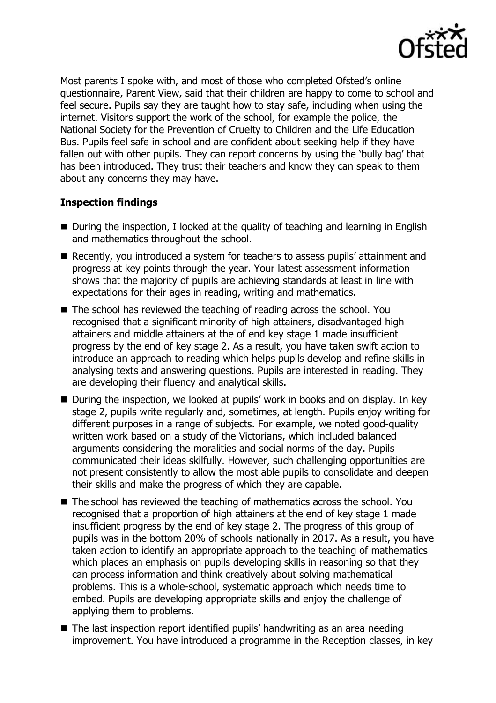

Most parents I spoke with, and most of those who completed Ofsted's online questionnaire, Parent View, said that their children are happy to come to school and feel secure. Pupils say they are taught how to stay safe, including when using the internet. Visitors support the work of the school, for example the police, the National Society for the Prevention of Cruelty to Children and the Life Education Bus. Pupils feel safe in school and are confident about seeking help if they have fallen out with other pupils. They can report concerns by using the 'bully bag' that has been introduced. They trust their teachers and know they can speak to them about any concerns they may have.

## **Inspection findings**

- During the inspection, I looked at the quality of teaching and learning in English and mathematics throughout the school.
- Recently, you introduced a system for teachers to assess pupils' attainment and progress at key points through the year. Your latest assessment information shows that the majority of pupils are achieving standards at least in line with expectations for their ages in reading, writing and mathematics.
- The school has reviewed the teaching of reading across the school. You recognised that a significant minority of high attainers, disadvantaged high attainers and middle attainers at the of end key stage 1 made insufficient progress by the end of key stage 2. As a result, you have taken swift action to introduce an approach to reading which helps pupils develop and refine skills in analysing texts and answering questions. Pupils are interested in reading. They are developing their fluency and analytical skills.
- During the inspection, we looked at pupils' work in books and on display. In key stage 2, pupils write regularly and, sometimes, at length. Pupils enjoy writing for different purposes in a range of subjects. For example, we noted good-quality written work based on a study of the Victorians, which included balanced arguments considering the moralities and social norms of the day. Pupils communicated their ideas skilfully. However, such challenging opportunities are not present consistently to allow the most able pupils to consolidate and deepen their skills and make the progress of which they are capable.
- The school has reviewed the teaching of mathematics across the school. You recognised that a proportion of high attainers at the end of key stage 1 made insufficient progress by the end of key stage 2. The progress of this group of pupils was in the bottom 20% of schools nationally in 2017. As a result, you have taken action to identify an appropriate approach to the teaching of mathematics which places an emphasis on pupils developing skills in reasoning so that they can process information and think creatively about solving mathematical problems. This is a whole-school, systematic approach which needs time to embed. Pupils are developing appropriate skills and enjoy the challenge of applying them to problems.
- The last inspection report identified pupils' handwriting as an area needing improvement. You have introduced a programme in the Reception classes, in key